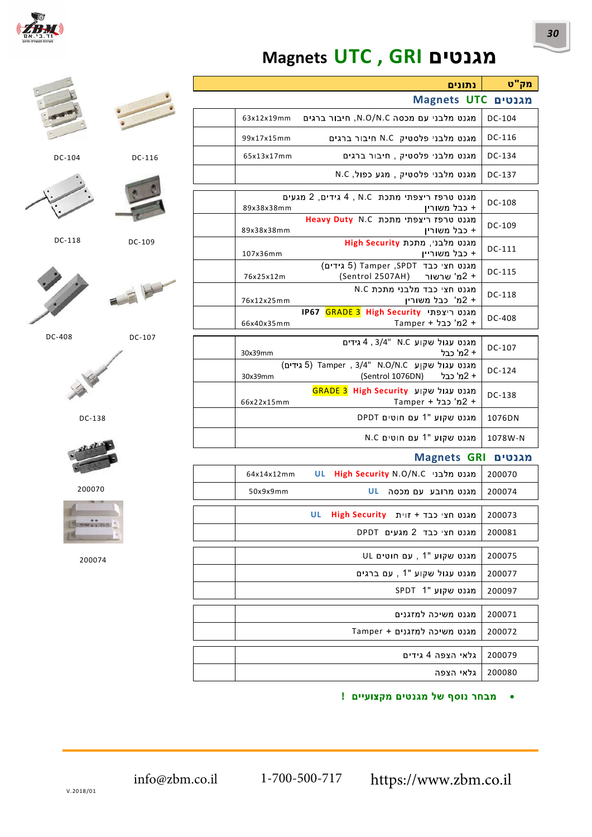

# Magnets UTC , GRI

#### מק"ט נתונים Magnets UTC DU1110

| <b>IVIORIICLO UIL LE USAN</b>                                                           |        |
|-----------------------------------------------------------------------------------------|--------|
| מגנט מלבני עם מכסה N.O/N.C, חיבור ברגים<br>63x12x19mm                                   | DC-104 |
| מגנט מלבני פלסטיק N.C חיבור ברגים<br>99x17x15mm                                         | DC-116 |
| מגנט מלבני פלסטיק , חיבור ברגים<br>65x13x17mm                                           | DC-134 |
| מגנט מלבני פלסטיק, מגע כפול, N.C                                                        | DC-137 |
|                                                                                         |        |
| מגנט טרפז ריצפתי מתכת A , N.C גידים, 2 מגעים<br>+ כבל משוריו<br>89x38x38mm              | DC-108 |
| Meavy Duty N.C מגנט טרפז ריצפתי מתכת<br>+ כבל משוריו<br>89x38x38mm                      | DC-109 |
| מגנט מלבנ, מתכת High Security<br>+ כבל משוריין<br>107x36mm                              | DC-111 |
| מגנט חצי כבד Tamper ,SPDT (5 גידים)<br>+ 2מ' שרשור (Sentrol 2507AH)<br>76x25x12m        | DC-115 |
| מגנט חצי כבד מלבני מתכת N.C<br>+ 2מ' כבל משוריו<br>76x12x25mm                           | DC-118 |
| מגנט ריצפתי GRADE 3 High Security<br>IP67<br>+ 2מ' כבל + Tamper<br>66x40x35mm           | DC-408 |
|                                                                                         |        |
| מגנט עגול שקוע N.C ו 4, 3/4" A.<br>+ 2מ' כבל<br>30x39mm                                 | DC-107 |
| מגנט עגול שקוע N.O/N.C ו Tamper , 3/4" N.O/N.C<br>+ 2מ' כבל (Sentrol 1076DN)<br>30x39mm | DC-124 |
|                                                                                         |        |



#### Magnets GRI

| 64x14x12mm | <b>UL</b> | מגנט מלבני High Security N.O/N.C  | 200070 |
|------------|-----------|-----------------------------------|--------|
| 50x9x9mm   |           | UL<br>מגנט מרובע עם מכסה          | 200074 |
|            |           |                                   |        |
|            | UL        | מגנט חצי כבד + זוית High Security | 200073 |
|            |           | מגנט חצי כבד 2 מגעים DPDT         | 200081 |
|            |           |                                   |        |
|            |           | מגנט שקוע "1, עם חוטים UL         | 200075 |
|            |           | מגנט עגול שקוע "1 , עם ברגים      | 200077 |
|            |           | SPDT 1" מגנט שקוע                 | 200097 |
|            |           |                                   |        |
|            |           | מגנט מש כה למזגנים                | 200071 |
|            |           | מגנט משיכה למזגנים + Tamper       | 200072 |
|            |           |                                   |        |
|            |           | גלאי הצפה 4 גידים                 | 200079 |
|            |           | גלאי הצפה                         | 200080 |

• מבחר נוסף של מגנטים מקצועיים!



DC-109



DC-104







DC-408

DC-107



DC-138



200070



200074